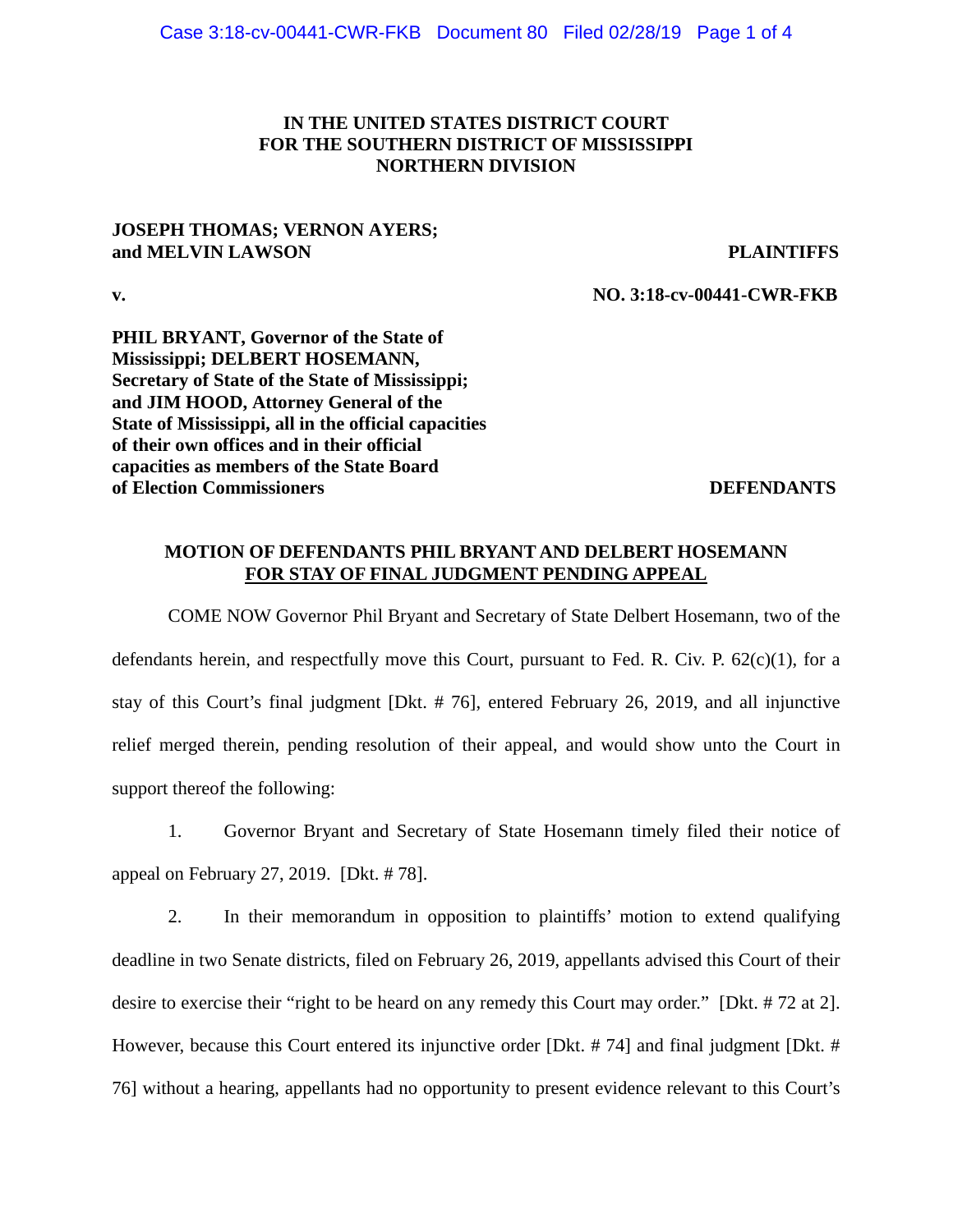## **IN THE UNITED STATES DISTRICT COURT FOR THE SOUTHERN DISTRICT OF MISSISSIPPI NORTHERN DIVISION**

### **JOSEPH THOMAS; VERNON AYERS; and MELVIN LAWSON PLAINTIFFS**

**v. NO. 3:18-cv-00441-CWR-FKB**

**PHIL BRYANT, Governor of the State of Mississippi; DELBERT HOSEMANN, Secretary of State of the State of Mississippi; and JIM HOOD, Attorney General of the State of Mississippi, all in the official capacities of their own offices and in their official capacities as members of the State Board of Election Commissioners** DEFENDANTS

## **MOTION OF DEFENDANTS PHIL BRYANT AND DELBERT HOSEMANN FOR STAY OF FINAL JUDGMENT PENDING APPEAL**

COME NOW Governor Phil Bryant and Secretary of State Delbert Hosemann, two of the defendants herein, and respectfully move this Court, pursuant to Fed. R. Civ. P. 62(c)(1), for a stay of this Court's final judgment [Dkt. # 76], entered February 26, 2019, and all injunctive relief merged therein, pending resolution of their appeal, and would show unto the Court in support thereof the following:

1. Governor Bryant and Secretary of State Hosemann timely filed their notice of appeal on February 27, 2019. [Dkt. # 78].

2. In their memorandum in opposition to plaintiffs' motion to extend qualifying deadline in two Senate districts, filed on February 26, 2019, appellants advised this Court of their desire to exercise their "right to be heard on any remedy this Court may order." [Dkt. # 72 at 2]. However, because this Court entered its injunctive order [Dkt. # 74] and final judgment [Dkt. # 76] without a hearing, appellants had no opportunity to present evidence relevant to this Court's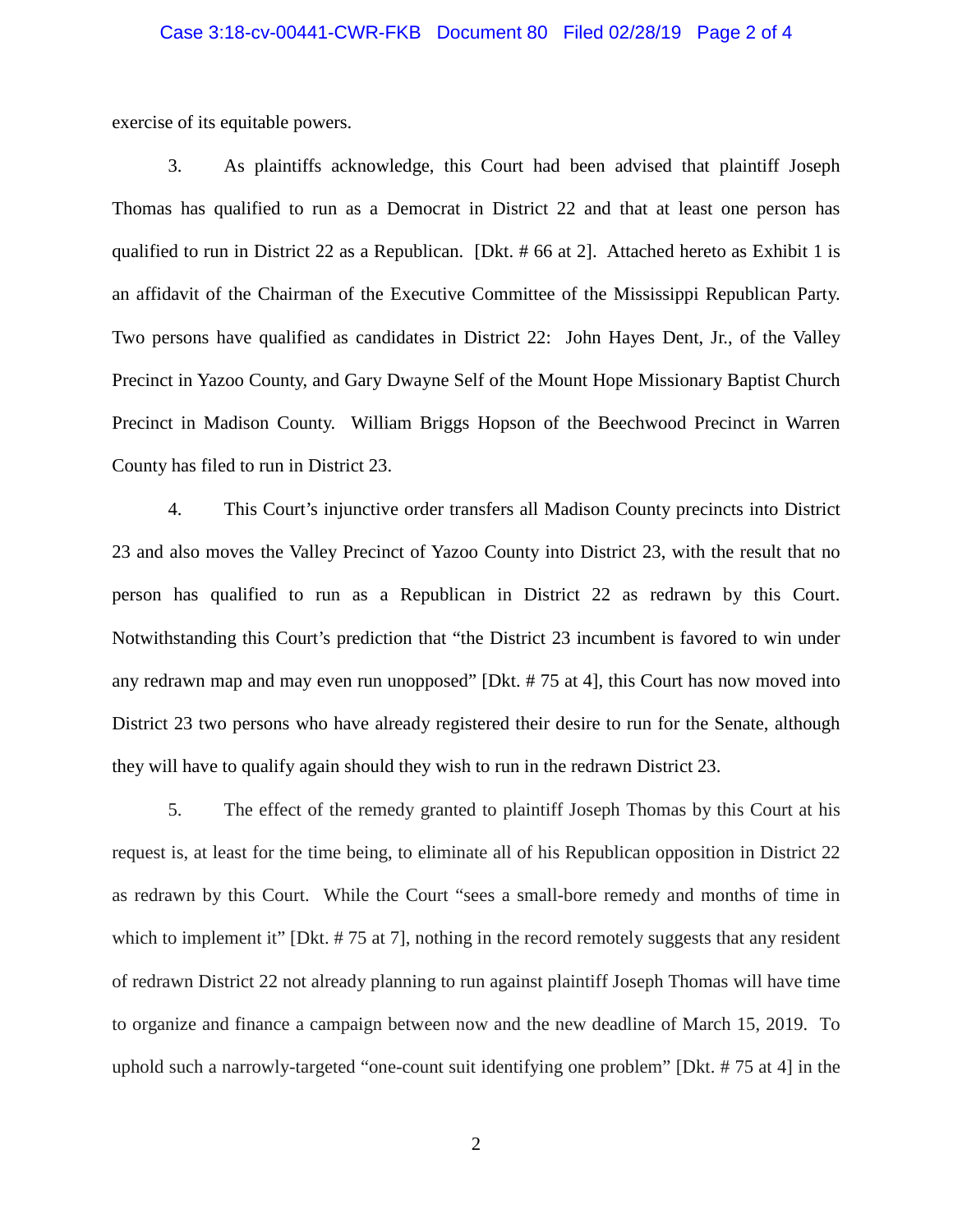### Case 3:18-cv-00441-CWR-FKB Document 80 Filed 02/28/19 Page 2 of 4

exercise of its equitable powers.

3. As plaintiffs acknowledge, this Court had been advised that plaintiff Joseph Thomas has qualified to run as a Democrat in District 22 and that at least one person has qualified to run in District 22 as a Republican. [Dkt. # 66 at 2]. Attached hereto as Exhibit 1 is an affidavit of the Chairman of the Executive Committee of the Mississippi Republican Party. Two persons have qualified as candidates in District 22: John Hayes Dent, Jr., of the Valley Precinct in Yazoo County, and Gary Dwayne Self of the Mount Hope Missionary Baptist Church Precinct in Madison County. William Briggs Hopson of the Beechwood Precinct in Warren County has filed to run in District 23.

4. This Court's injunctive order transfers all Madison County precincts into District 23 and also moves the Valley Precinct of Yazoo County into District 23, with the result that no person has qualified to run as a Republican in District 22 as redrawn by this Court. Notwithstanding this Court's prediction that "the District 23 incumbent is favored to win under any redrawn map and may even run unopposed" [Dkt. # 75 at 4], this Court has now moved into District 23 two persons who have already registered their desire to run for the Senate, although they will have to qualify again should they wish to run in the redrawn District 23.

5. The effect of the remedy granted to plaintiff Joseph Thomas by this Court at his request is, at least for the time being, to eliminate all of his Republican opposition in District 22 as redrawn by this Court. While the Court "sees a small-bore remedy and months of time in which to implement it" [Dkt. #75 at 7], nothing in the record remotely suggests that any resident of redrawn District 22 not already planning to run against plaintiff Joseph Thomas will have time to organize and finance a campaign between now and the new deadline of March 15, 2019. To uphold such a narrowly-targeted "one-count suit identifying one problem" [Dkt. # 75 at 4] in the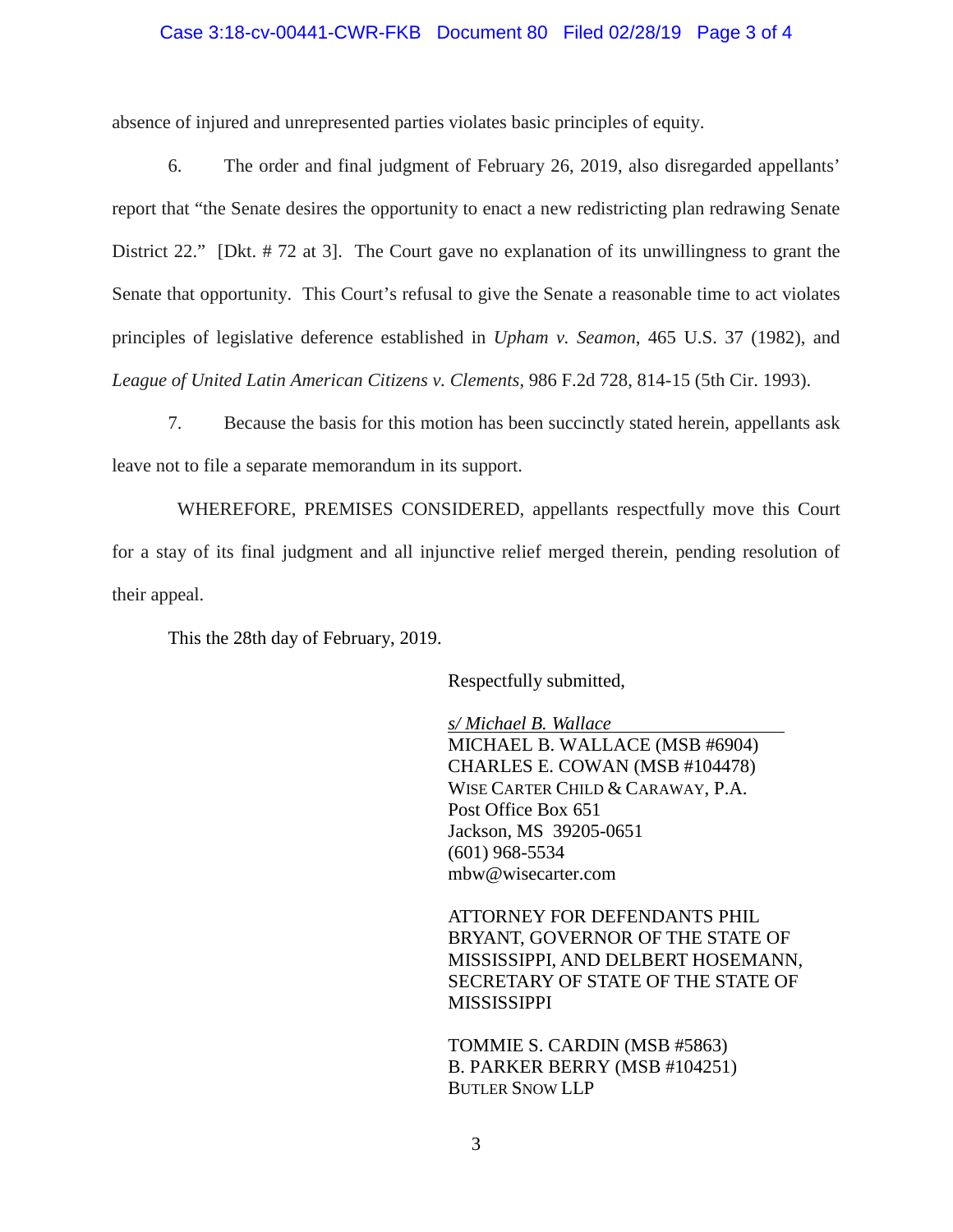### Case 3:18-cv-00441-CWR-FKB Document 80 Filed 02/28/19 Page 3 of 4

absence of injured and unrepresented parties violates basic principles of equity.

6. The order and final judgment of February 26, 2019, also disregarded appellants' report that "the Senate desires the opportunity to enact a new redistricting plan redrawing Senate District 22." [Dkt. # 72 at 3]. The Court gave no explanation of its unwillingness to grant the Senate that opportunity. This Court's refusal to give the Senate a reasonable time to act violates principles of legislative deference established in *Upham v. Seamon*, 465 U.S. 37 (1982), and *League of United Latin American Citizens v. Clements*, 986 F.2d 728, 814-15 (5th Cir. 1993).

7. Because the basis for this motion has been succinctly stated herein, appellants ask leave not to file a separate memorandum in its support.

 WHEREFORE, PREMISES CONSIDERED, appellants respectfully move this Court for a stay of its final judgment and all injunctive relief merged therein, pending resolution of their appeal.

This the 28th day of February, 2019.

Respectfully submitted,

*s/ Michael B. Wallace* MICHAEL B. WALLACE (MSB #6904) CHARLES E. COWAN (MSB #104478) WISE CARTER CHILD & CARAWAY, P.A. Post Office Box 651 Jackson, MS 39205-0651 (601) 968-5534 [mbw@wisecarter.com](mailto:mbw@wisecarter.com)

ATTORNEY FOR DEFENDANTS PHIL BRYANT, GOVERNOR OF THE STATE OF MISSISSIPPI, AND DELBERT HOSEMANN, SECRETARY OF STATE OF THE STATE OF MISSISSIPPI

TOMMIE S. CARDIN (MSB #5863) B. PARKER BERRY (MSB #104251) BUTLER SNOW LLP